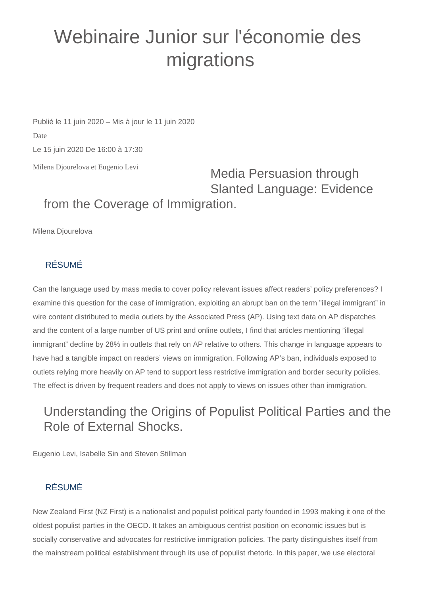# Webinaire Junior sur l'économie des migrations

Milena Djourelova et Eugenio Levi Publié le 11 juin 2020 – Mis à jour le 11 juin 2020 Date Le 15 juin 2020 De 16:00 à 17:30

Media Persuasion through Slanted Language: Evidence from the Coverage of Immigration.

Milena Djourelova

#### RÉSUMÉ

Can the language used by mass media to cover policy relevant issues affect readers' policy preferences? I examine this question for the case of immigration, exploiting an abrupt ban on the term "illegal immigrant" in wire content distributed to media outlets by the Associated Press (AP). Using text data on AP dispatches and the content of a large number of US print and online outlets, I find that articles mentioning "illegal immigrant" decline by 28% in outlets that rely on AP relative to others. This change in language appears to have had a tangible impact on readers' views on immigration. Following AP's ban, individuals exposed to outlets relying more heavily on AP tend to support less restrictive immigration and border security policies. The effect is driven by frequent readers and does not apply to views on issues other than immigration.

## Understanding the Origins of Populist Political Parties and the Role of External Shocks.

Eugenio Levi, Isabelle Sin and Steven Stillman

## RÉSUMÉ

New Zealand First (NZ First) is a nationalist and populist political party founded in 1993 making it one of the oldest populist parties in the OECD. It takes an ambiguous centrist position on economic issues but is socially conservative and advocates for restrictive immigration policies. The party distinguishes itself from the mainstream political establishment through its use of populist rhetoric. In this paper, we use electoral